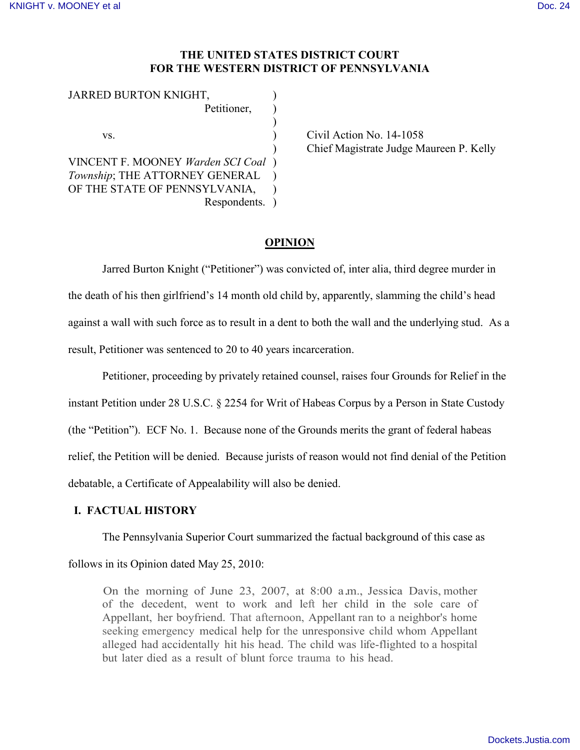# **THE UNITED STATES DISTRICT COURT FOR THE WESTERN DISTRICT OF PENNSYLVANIA**

| JARRED BURTON KNIGHT,             |  |
|-----------------------------------|--|
| Petitioner,                       |  |
|                                   |  |
| VS.                               |  |
|                                   |  |
| VINCENT F. MOONEY Warden SCI Coal |  |
| Township; THE ATTORNEY GENERAL    |  |
| OF THE STATE OF PENNSYLVANIA,     |  |
| Respondents.                      |  |

Civil Action No.  $14-1058$ ) Chief Magistrate Judge Maureen P. Kelly

# **OPINION**

Jarred Burton Knight ("Petitioner") was convicted of, inter alia, third degree murder in the death of his then girlfriend's 14 month old child by, apparently, slamming the child's head against a wall with such force as to result in a dent to both the wall and the underlying stud. As a result, Petitioner was sentenced to 20 to 40 years incarceration.

Petitioner, proceeding by privately retained counsel, raises four Grounds for Relief in the instant Petition under 28 U.S.C. § 2254 for Writ of Habeas Corpus by a Person in State Custody (the "Petition"). ECF No. 1. Because none of the Grounds merits the grant of federal habeas relief, the Petition will be denied. Because jurists of reason would not find denial of the Petition debatable, a Certificate of Appealability will also be denied.

# **I. FACTUAL HISTORY**

The Pennsylvania Superior Court summarized the factual background of this case as

# follows in its Opinion dated May 25, 2010:

On the morning of June 23, 2007, at 8:00 a.m., Jessica Davis, mother of the decedent, went to work and left her child in the sole care of Appellant, her boyfriend. That afternoon, Appellant ran to a neighbor's home seeking emergency medical help for the unresponsive child whom Appellant alleged had accidentally hit his head. The child was life-flighted to a hospital but later died as a result of blunt force trauma to his head.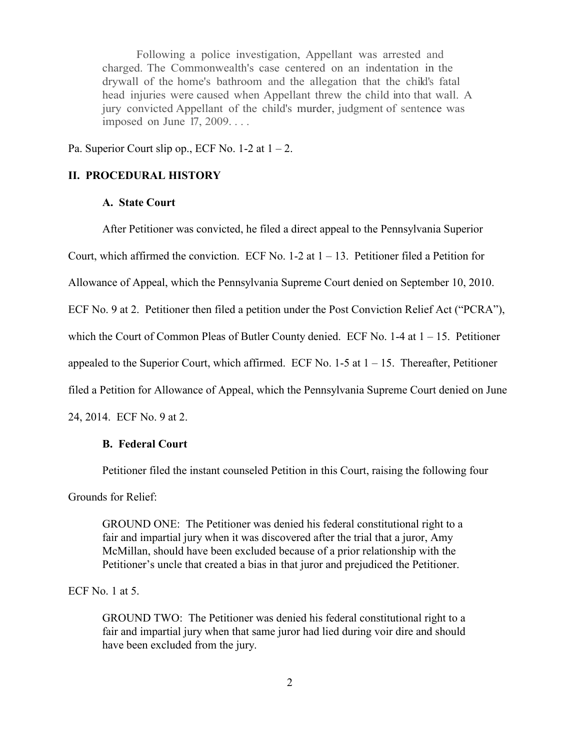Following a police investigation, Appellant was arrested and charged. The Commonwealth's case centered on an indentation in the drywall of the home's bathroom and the allegation that the child's fatal head injuries were caused when Appellant threw the child into that wall. A jury convicted Appellant of the child's murder, judgment of sentence was imposed on June 17, 2009. . . .

Pa. Superior Court slip op., ECF No. 1-2 at  $1 - 2$ .

#### **II. PROCEDURAL HISTORY**

### **A. State Court**

After Petitioner was convicted, he filed a direct appeal to the Pennsylvania Superior Court, which affirmed the conviction. ECF No.  $1-2$  at  $1-13$ . Petitioner filed a Petition for Allowance of Appeal, which the Pennsylvania Supreme Court denied on September 10, 2010. ECF No. 9 at 2. Petitioner then filed a petition under the Post Conviction Relief Act ("PCRA"), which the Court of Common Pleas of Butler County denied. ECF No.  $1-4$  at  $1-15$ . Petitioner appealed to the Superior Court, which affirmed. ECF No.  $1-5$  at  $1-15$ . Thereafter, Petitioner filed a Petition for Allowance of Appeal, which the Pennsylvania Supreme Court denied on June 24, 2014. ECF No. 9 at 2.

# **B. Federal Court**

Petitioner filed the instant counseled Petition in this Court, raising the following four

Grounds for Relief:

GROUND ONE: The Petitioner was denied his federal constitutional right to a fair and impartial jury when it was discovered after the trial that a juror, Amy McMillan, should have been excluded because of a prior relationship with the Petitioner's uncle that created a bias in that juror and prejudiced the Petitioner.

ECF No. 1 at 5.

GROUND TWO: The Petitioner was denied his federal constitutional right to a fair and impartial jury when that same juror had lied during voir dire and should have been excluded from the jury.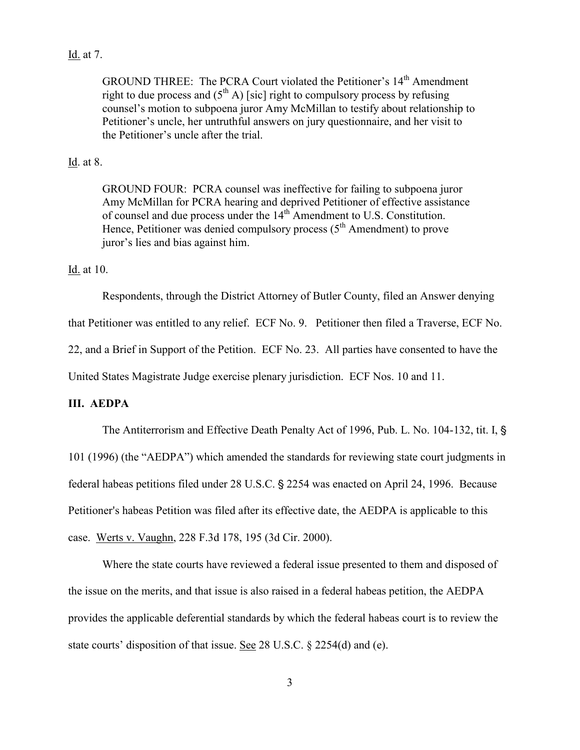# Id. at 7.

GROUND THREE: The PCRA Court violated the Petitioner's 14<sup>th</sup> Amendment right to due process and  $(5^{th} A)$  [sic] right to compulsory process by refusing counsel's motion to subpoena juror Amy McMillan to testify about relationship to Petitioner's uncle, her untruthful answers on jury questionnaire, and her visit to the Petitioner's uncle after the trial.

# Id. at 8.

GROUND FOUR: PCRA counsel was ineffective for failing to subpoena juror Amy McMillan for PCRA hearing and deprived Petitioner of effective assistance of counsel and due process under the 14th Amendment to U.S. Constitution. Hence, Petitioner was denied compulsory process  $(5<sup>th</sup> Amendment)$  to prove juror's lies and bias against him.

Id. at 10.

Respondents, through the District Attorney of Butler County, filed an Answer denying

that Petitioner was entitled to any relief. ECF No. 9. Petitioner then filed a Traverse, ECF No.

22, and a Brief in Support of the Petition. ECF No. 23. All parties have consented to have the

United States Magistrate Judge exercise plenary jurisdiction. ECF Nos. 10 and 11.

### **III. AEDPA**

The Antiterrorism and Effective Death Penalty Act of 1996, Pub. L. No. 104-132, tit. I, § 101 (1996) (the "AEDPA") which amended the standards for reviewing state court judgments in federal habeas petitions filed under 28 U.S.C. § 2254 was enacted on April 24, 1996. Because Petitioner's habeas Petition was filed after its effective date, the AEDPA is applicable to this case. Werts v. Vaughn, 228 F.3d 178, 195 (3d Cir. 2000).

Where the state courts have reviewed a federal issue presented to them and disposed of the issue on the merits, and that issue is also raised in a federal habeas petition, the AEDPA provides the applicable deferential standards by which the federal habeas court is to review the state courts' disposition of that issue. See 28 U.S.C. § 2254(d) and (e).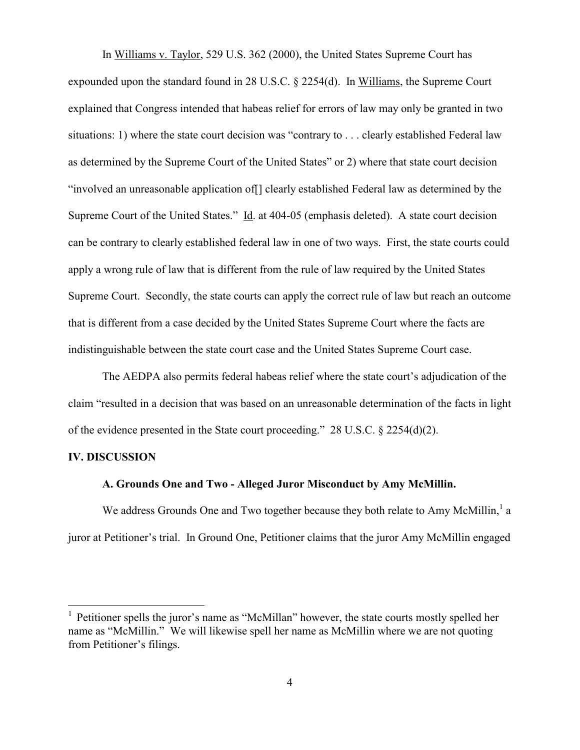In Williams v. Taylor, 529 U.S. 362 (2000), the United States Supreme Court has expounded upon the standard found in 28 U.S.C. § 2254(d). In Williams, the Supreme Court explained that Congress intended that habeas relief for errors of law may only be granted in two situations: 1) where the state court decision was "contrary to . . . clearly established Federal law as determined by the Supreme Court of the United States" or 2) where that state court decision "involved an unreasonable application of[] clearly established Federal law as determined by the Supreme Court of the United States." Id. at 404-05 (emphasis deleted). A state court decision can be contrary to clearly established federal law in one of two ways. First, the state courts could apply a wrong rule of law that is different from the rule of law required by the United States Supreme Court. Secondly, the state courts can apply the correct rule of law but reach an outcome that is different from a case decided by the United States Supreme Court where the facts are indistinguishable between the state court case and the United States Supreme Court case.

The AEDPA also permits federal habeas relief where the state court's adjudication of the claim "resulted in a decision that was based on an unreasonable determination of the facts in light of the evidence presented in the State court proceeding." 28 U.S.C. § 2254(d)(2).

#### **IV. DISCUSSION**

 $\overline{a}$ 

#### **A. Grounds One and Two - Alleged Juror Misconduct by Amy McMillin.**

We address Grounds One and Two together because they both relate to Amy McMillin, a juror at Petitioner's trial. In Ground One, Petitioner claims that the juror Amy McMillin engaged

<sup>&</sup>lt;sup>1</sup> Petitioner spells the juror's name as "McMillan" however, the state courts mostly spelled her name as "McMillin." We will likewise spell her name as McMillin where we are not quoting from Petitioner's filings.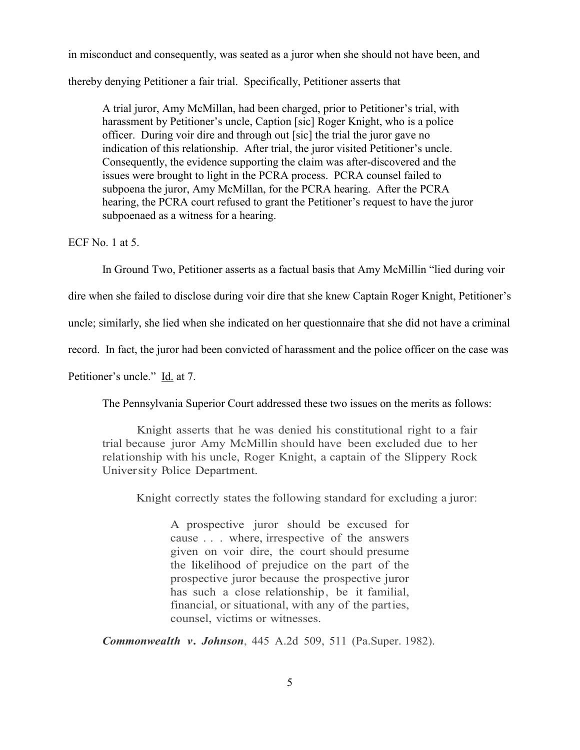in misconduct and consequently, was seated as a juror when she should not have been, and

thereby denying Petitioner a fair trial. Specifically, Petitioner asserts that

A trial juror, Amy McMillan, had been charged, prior to Petitioner's trial, with harassment by Petitioner's uncle, Caption [sic] Roger Knight, who is a police officer. During voir dire and through out [sic] the trial the juror gave no indication of this relationship. After trial, the juror visited Petitioner's uncle. Consequently, the evidence supporting the claim was after-discovered and the issues were brought to light in the PCRA process. PCRA counsel failed to subpoena the juror, Amy McMillan, for the PCRA hearing. After the PCRA hearing, the PCRA court refused to grant the Petitioner's request to have the juror subpoenaed as a witness for a hearing.

ECF No. 1 at 5.

In Ground Two, Petitioner asserts as a factual basis that Amy McMillin "lied during voir

dire when she failed to disclose during voir dire that she knew Captain Roger Knight, Petitioner's

uncle; similarly, she lied when she indicated on her questionnaire that she did not have a criminal

record. In fact, the juror had been convicted of harassment and the police officer on the case was

Petitioner's uncle." Id. at 7.

The Pennsylvania Superior Court addressed these two issues on the merits as follows:

Knight asserts that he was denied his constitutional right to a fair trial because juror Amy McMillin should have been excluded due to her relationship with his uncle, Roger Knight, a captain of the Slippery Rock University Police Department.

Knight correctly states the following standard for excluding a juror:

A prospective juror should be excused for cause . . . where, irrespective of the answers given on voir dire, the court should presume the likelihood of prejudice on the part of the prospective juror because the prospective juror has such a close relationship, be it familial, financial, or situational, with any of the parties, counsel, victims or witnesses.

*Commonwealth v. Johnson*, 445 A.2d 509, 511 (Pa.Super. 1982).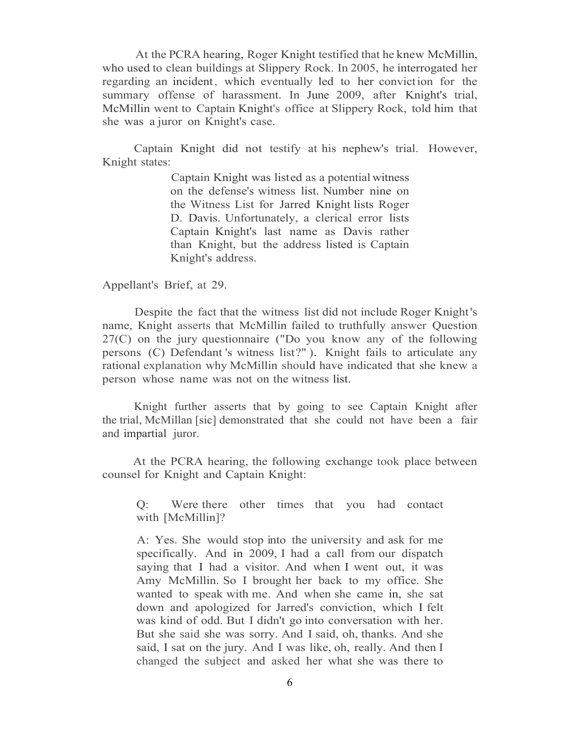At the PCRA hearing, Roger Knight testified that he knew McMillin, who used to clean buildings at Slippery Rock. In 2005, he interrogated her regarding an incident, which eventually led to her conviction for the summary offense of harassment. In June 2009, after Knight's trial, McMillin went to Captain Knight's office at Slippery Rock, told him that she was a juror on Knight's case.

Captain Knight did not testify at his nephew's trial. However, Knight states:

> Captain Knight was listed as a potential witness on the defense's witness list. Number nine on the Witness List for Jarred Knight lists Roger D. Davis. Unfortunately, a clerical error lists Captain Knight's last name as Davis rather than Knight, but the address listed is Captain Knight's address.

Appellant's Brief, at 29.

Despite the fact that the witness list did not include Roger Knight's name, Knight asserts that McMillin failed to truthfully answer Question 27(C) on the jury questionnaire ("Do you know any of the following persons (C) Defendant 's witness list?" ). Knight fails to articulate any rational explanation why McMillin should have indicated that she knew a person whose name was not on the witness list.

Knight further asserts that by going to see Captain Knight after the trial, McMillan [sic] demonstrated that she could not have been a fair and impartial juror.

At the PCRA hearing, the following exchange took place between counsel for Knight and Captain Knight:

Q: Were there other times that you had contact with [McMillin]?

A: Yes. She would stop into the university and ask for me specifically. And in 2009, I had a call from our dispatch saying that I had a visitor. And when I went out, it was Amy McMillin. So I brought her back to my office. She wanted to speak with me. And when she came in, she sat down and apologized for Jarred's conviction, which I felt was kind of odd. But I didn't go into conversation with her. But she said she was sorry. And I said, oh, thanks. And she said, I sat on the jury. And I was like, oh, really. And then I changed the subject and asked her what she was there to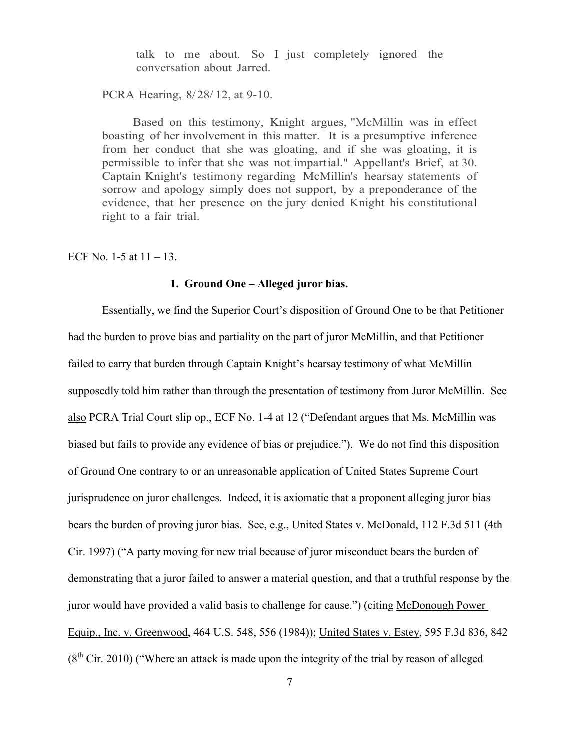talk to me about. So I just completely ignored the conversation about Jarred.

PCRA Hearing, 8/28/ 12, at 9-10.

Based on this testimony, Knight argues, "McMillin was in effect boasting of her involvement in this matter. It is a presumptive inference from her conduct that she was gloating, and if she was gloating, it is permissible to infer that she was not impartial." Appellant's Brief, at 30. Captain Knight's testimony regarding McMillin's hearsay statements of sorrow and apology simply does not support, by a preponderance of the evidence, that her presence on the jury denied Knight his constitutional right to a fair trial.

ECF No. 1-5 at  $11 - 13$ .

#### **1. Ground One – Alleged juror bias.**

Essentially, we find the Superior Court's disposition of Ground One to be that Petitioner had the burden to prove bias and partiality on the part of juror McMillin, and that Petitioner failed to carry that burden through Captain Knight's hearsay testimony of what McMillin supposedly told him rather than through the presentation of testimony from Juror McMillin. See also PCRA Trial Court slip op., ECF No. 1-4 at 12 ("Defendant argues that Ms. McMillin was biased but fails to provide any evidence of bias or prejudice."). We do not find this disposition of Ground One contrary to or an unreasonable application of United States Supreme Court jurisprudence on juror challenges. Indeed, it is axiomatic that a proponent alleging juror bias bears the burden of proving juror bias. See, e.g., United States v. McDonald, 112 F.3d 511 (4th Cir. 1997) ("A party moving for new trial because of juror misconduct bears the burden of demonstrating that a juror failed to answer a material question, and that a truthful response by the juror would have provided a valid basis to challenge for cause.") (citing McDonough Power Equip., Inc. v. Greenwood, 464 U.S. 548, 556 (1984)); United States v. Estey, 595 F.3d 836, 842  $(8<sup>th</sup> Cir. 2010)$  ("Where an attack is made upon the integrity of the trial by reason of alleged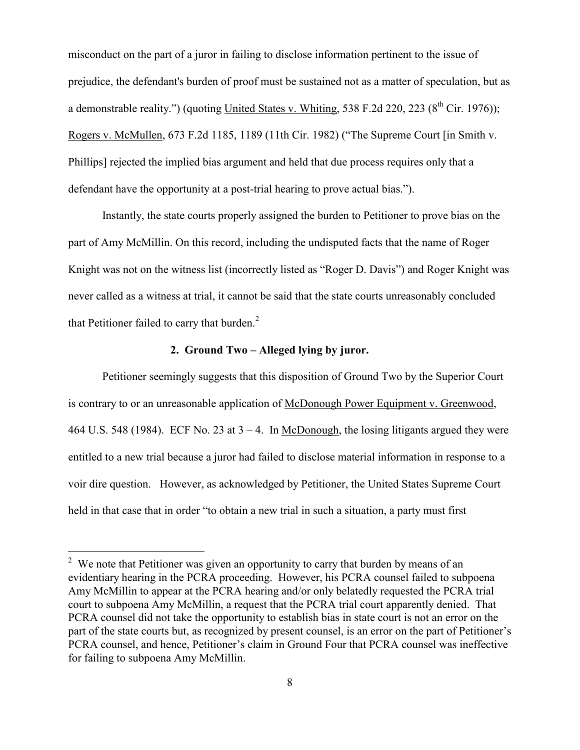misconduct on the part of a juror in failing to disclose information pertinent to the issue of prejudice, the defendant's burden of proof must be sustained not as a matter of speculation, but as a demonstrable reality.") (quoting United States v. Whiting, 538 F.2d 220, 223 ( $8<sup>th</sup>$  Cir. 1976)); Rogers v. McMullen, 673 F.2d 1185, 1189 (11th Cir. 1982) ("The Supreme Court [in Smith v. Phillips] rejected the implied bias argument and held that due process requires only that a defendant have the opportunity at a post-trial hearing to prove actual bias.").

Instantly, the state courts properly assigned the burden to Petitioner to prove bias on the part of Amy McMillin. On this record, including the undisputed facts that the name of Roger Knight was not on the witness list (incorrectly listed as "Roger D. Davis") and Roger Knight was never called as a witness at trial, it cannot be said that the state courts unreasonably concluded that Petitioner failed to carry that burden. $<sup>2</sup>$ </sup>

## **2. Ground Two – Alleged lying by juror.**

Petitioner seemingly suggests that this disposition of Ground Two by the Superior Court is contrary to or an unreasonable application of McDonough Power Equipment v. Greenwood, 464 U.S. 548 (1984). ECF No. 23 at  $3 - 4$ . In McDonough, the losing litigants argued they were entitled to a new trial because a juror had failed to disclose material information in response to a voir dire question. However, as acknowledged by Petitioner, the United States Supreme Court held in that case that in order "to obtain a new trial in such a situation, a party must first

 $\overline{a}$ 

 $2$  We note that Petitioner was given an opportunity to carry that burden by means of an evidentiary hearing in the PCRA proceeding. However, his PCRA counsel failed to subpoena Amy McMillin to appear at the PCRA hearing and/or only belatedly requested the PCRA trial court to subpoena Amy McMillin, a request that the PCRA trial court apparently denied. That PCRA counsel did not take the opportunity to establish bias in state court is not an error on the part of the state courts but, as recognized by present counsel, is an error on the part of Petitioner's PCRA counsel, and hence, Petitioner's claim in Ground Four that PCRA counsel was ineffective for failing to subpoena Amy McMillin.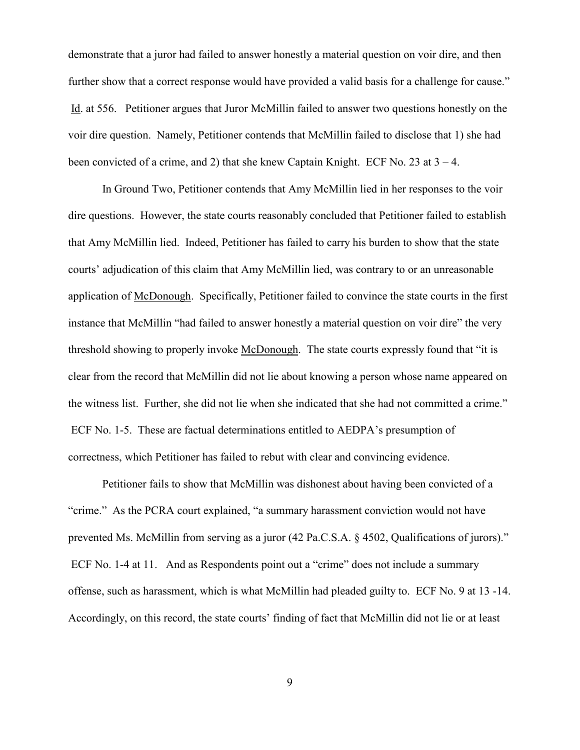demonstrate that a juror had failed to answer honestly a material question on voir dire, and then further show that a correct response would have provided a valid basis for a challenge for cause." Id. at 556. Petitioner argues that Juror McMillin failed to answer two questions honestly on the voir dire question. Namely, Petitioner contends that McMillin failed to disclose that 1) she had been convicted of a crime, and 2) that she knew Captain Knight. ECF No. 23 at 3 – 4.

In Ground Two, Petitioner contends that Amy McMillin lied in her responses to the voir dire questions. However, the state courts reasonably concluded that Petitioner failed to establish that Amy McMillin lied. Indeed, Petitioner has failed to carry his burden to show that the state courts' adjudication of this claim that Amy McMillin lied, was contrary to or an unreasonable application of McDonough. Specifically, Petitioner failed to convince the state courts in the first instance that McMillin "had failed to answer honestly a material question on voir dire" the very threshold showing to properly invoke McDonough. The state courts expressly found that "it is clear from the record that McMillin did not lie about knowing a person whose name appeared on the witness list. Further, she did not lie when she indicated that she had not committed a crime." ECF No. 1-5. These are factual determinations entitled to AEDPA's presumption of correctness, which Petitioner has failed to rebut with clear and convincing evidence.

Petitioner fails to show that McMillin was dishonest about having been convicted of a "crime." As the PCRA court explained, "a summary harassment conviction would not have prevented Ms. McMillin from serving as a juror (42 Pa.C.S.A. § 4502, Qualifications of jurors)." ECF No. 1-4 at 11. And as Respondents point out a "crime" does not include a summary offense, such as harassment, which is what McMillin had pleaded guilty to. ECF No. 9 at 13 -14. Accordingly, on this record, the state courts' finding of fact that McMillin did not lie or at least

9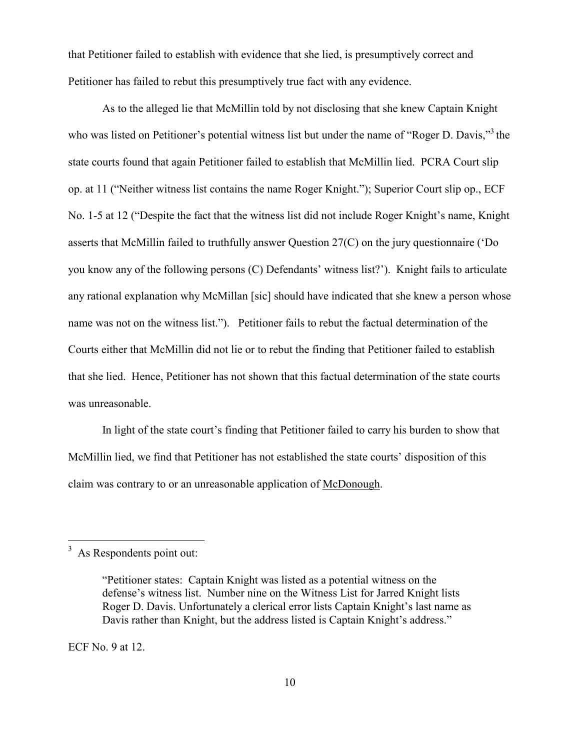that Petitioner failed to establish with evidence that she lied, is presumptively correct and Petitioner has failed to rebut this presumptively true fact with any evidence.

As to the alleged lie that McMillin told by not disclosing that she knew Captain Knight who was listed on Petitioner's potential witness list but under the name of "Roger D. Davis," the state courts found that again Petitioner failed to establish that McMillin lied. PCRA Court slip op. at 11 ("Neither witness list contains the name Roger Knight."); Superior Court slip op., ECF No. 1-5 at 12 ("Despite the fact that the witness list did not include Roger Knight's name, Knight asserts that McMillin failed to truthfully answer Question 27(C) on the jury questionnaire ('Do you know any of the following persons (C) Defendants' witness list?'). Knight fails to articulate any rational explanation why McMillan [sic] should have indicated that she knew a person whose name was not on the witness list."). Petitioner fails to rebut the factual determination of the Courts either that McMillin did not lie or to rebut the finding that Petitioner failed to establish that she lied. Hence, Petitioner has not shown that this factual determination of the state courts was unreasonable.

In light of the state court's finding that Petitioner failed to carry his burden to show that McMillin lied, we find that Petitioner has not established the state courts' disposition of this claim was contrary to or an unreasonable application of McDonough.

ECF No. 9 at 12.

 $3\overline{)}$  As Respondents point out:

<sup>&</sup>quot;Petitioner states: Captain Knight was listed as a potential witness on the defense's witness list. Number nine on the Witness List for Jarred Knight lists Roger D. Davis. Unfortunately a clerical error lists Captain Knight's last name as Davis rather than Knight, but the address listed is Captain Knight's address."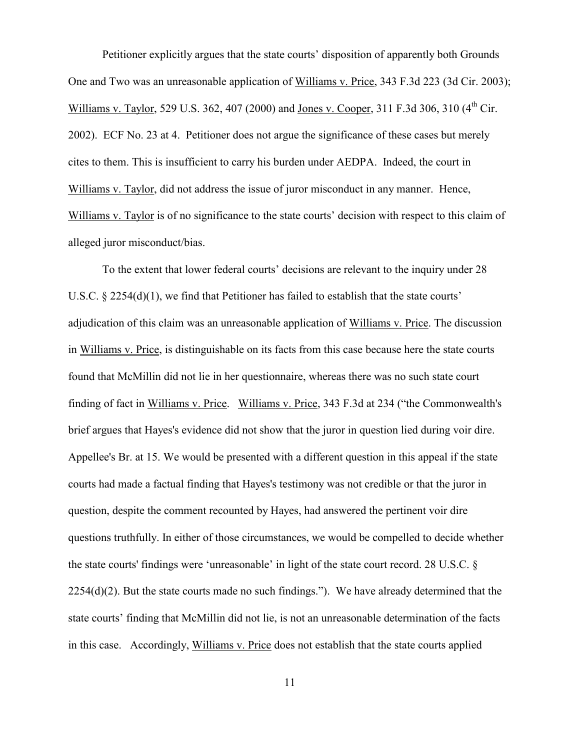Petitioner explicitly argues that the state courts' disposition of apparently both Grounds One and Two was an unreasonable application of Williams v. Price, 343 F.3d 223 (3d Cir. 2003); Williams v. Taylor, 529 U.S. 362, 407 (2000) and Jones v. Cooper, 311 F.3d 306, 310 (4<sup>th</sup> Cir. 2002). ECF No. 23 at 4. Petitioner does not argue the significance of these cases but merely cites to them. This is insufficient to carry his burden under AEDPA. Indeed, the court in Williams v. Taylor, did not address the issue of juror misconduct in any manner. Hence, Williams v. Taylor is of no significance to the state courts' decision with respect to this claim of alleged juror misconduct/bias.

To the extent that lower federal courts' decisions are relevant to the inquiry under 28 U.S.C. § 2254(d)(1), we find that Petitioner has failed to establish that the state courts' adjudication of this claim was an unreasonable application of Williams v. Price. The discussion in Williams v. Price, is distinguishable on its facts from this case because here the state courts found that McMillin did not lie in her questionnaire, whereas there was no such state court finding of fact in Williams v. Price. Williams v. Price, 343 F.3d at 234 ("the Commonwealth's brief argues that Hayes's evidence did not show that the juror in question lied during voir dire. Appellee's Br. at 15. We would be presented with a different question in this appeal if the state courts had made a factual finding that Hayes's testimony was not credible or that the juror in question, despite the comment recounted by Hayes, had answered the pertinent voir dire questions truthfully. In either of those circumstances, we would be compelled to decide whether the state courts' findings were 'unreasonable' in light of the state court record. 28 U.S.C. § 2254(d)(2). But the state courts made no such findings."). We have already determined that the state courts' finding that McMillin did not lie, is not an unreasonable determination of the facts in this case. Accordingly, Williams v. Price does not establish that the state courts applied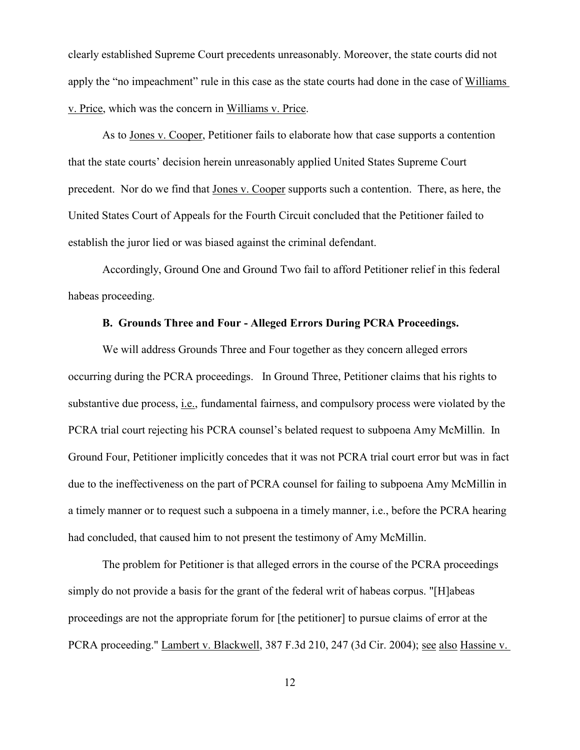clearly established Supreme Court precedents unreasonably. Moreover, the state courts did not apply the "no impeachment" rule in this case as the state courts had done in the case of Williams v. Price, which was the concern in Williams v. Price.

As to Jones v. Cooper, Petitioner fails to elaborate how that case supports a contention that the state courts' decision herein unreasonably applied United States Supreme Court precedent. Nor do we find that Jones v. Cooper supports such a contention. There, as here, the United States Court of Appeals for the Fourth Circuit concluded that the Petitioner failed to establish the juror lied or was biased against the criminal defendant.

Accordingly, Ground One and Ground Two fail to afford Petitioner relief in this federal habeas proceeding.

# **B. Grounds Three and Four - Alleged Errors During PCRA Proceedings.**

We will address Grounds Three and Four together as they concern alleged errors occurring during the PCRA proceedings. In Ground Three, Petitioner claims that his rights to substantive due process, i.e., fundamental fairness, and compulsory process were violated by the PCRA trial court rejecting his PCRA counsel's belated request to subpoena Amy McMillin. In Ground Four, Petitioner implicitly concedes that it was not PCRA trial court error but was in fact due to the ineffectiveness on the part of PCRA counsel for failing to subpoena Amy McMillin in a timely manner or to request such a subpoena in a timely manner, i.e., before the PCRA hearing had concluded, that caused him to not present the testimony of Amy McMillin.

The problem for Petitioner is that alleged errors in the course of the PCRA proceedings simply do not provide a basis for the grant of the federal writ of habeas corpus. "[H]abeas proceedings are not the appropriate forum for [the petitioner] to pursue claims of error at the PCRA proceeding." Lambert v. Blackwell, 387 F.3d 210, 247 (3d Cir. 2004); see also Hassine v.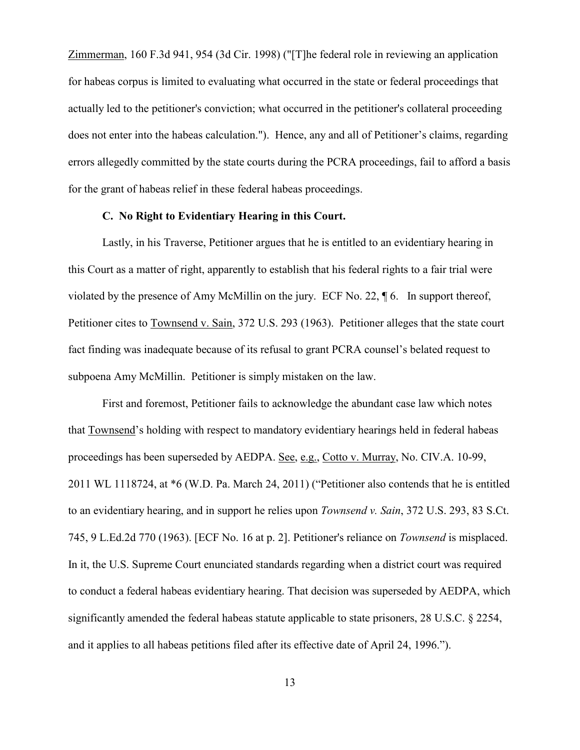Zimmerman, 160 F.3d 941, 954 (3d Cir. 1998) ("[T]he federal role in reviewing an application for habeas corpus is limited to evaluating what occurred in the state or federal proceedings that actually led to the petitioner's conviction; what occurred in the petitioner's collateral proceeding does not enter into the habeas calculation."). Hence, any and all of Petitioner's claims, regarding errors allegedly committed by the state courts during the PCRA proceedings, fail to afford a basis for the grant of habeas relief in these federal habeas proceedings.

# **C. No Right to Evidentiary Hearing in this Court.**

Lastly, in his Traverse, Petitioner argues that he is entitled to an evidentiary hearing in this Court as a matter of right, apparently to establish that his federal rights to a fair trial were violated by the presence of Amy McMillin on the jury. ECF No. 22, ¶ 6. In support thereof, Petitioner cites to Townsend v. Sain, 372 U.S. 293 (1963). Petitioner alleges that the state court fact finding was inadequate because of its refusal to grant PCRA counsel's belated request to subpoena Amy McMillin. Petitioner is simply mistaken on the law.

First and foremost, Petitioner fails to acknowledge the abundant case law which notes that Townsend's holding with respect to mandatory evidentiary hearings held in federal habeas proceedings has been superseded by AEDPA. See, e.g., Cotto v. Murray, No. CIV.A. 10-99, 2011 WL 1118724, at \*6 (W.D. Pa. March 24, 2011) ("Petitioner also contends that he is entitled to an evidentiary hearing, and in support he relies upon *Townsend v. Sain*, 372 U.S. 293, 83 S.Ct. 745, 9 L.Ed.2d 770 (1963). [ECF No. 16 at p. 2]. Petitioner's reliance on *Townsend* is misplaced. In it, the U.S. Supreme Court enunciated standards regarding when a district court was required to conduct a federal habeas evidentiary hearing. That decision was superseded by AEDPA, which significantly amended the federal habeas statute applicable to state prisoners, 28 U.S.C. § 2254, and it applies to all habeas petitions filed after its effective date of April 24, 1996.").